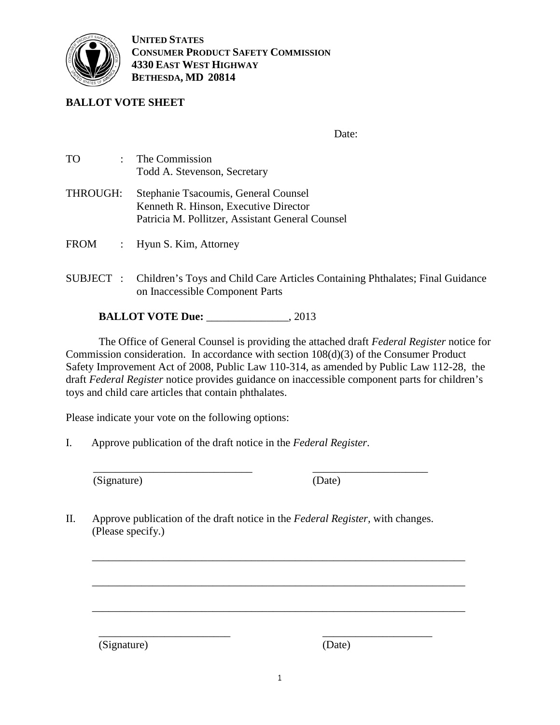

**UNITED STATES CONSUMER PRODUCT SAFETY COMMISSION 4330 EAST WEST HIGHWAY BETHESDA, MD 20814** 

## **BALLOT VOTE SHEET**

This document has been electronically approved and signed.

Date: January 30, 2013

| <b>TO</b><br>$\ddot{\cdot}$ | The Commission<br>Todd A. Stevenson, Secretary                                                                                    |
|-----------------------------|-----------------------------------------------------------------------------------------------------------------------------------|
| THROUGH:                    | Stephanie Tsacoumis, General Counsel<br>Kenneth R. Hinson, Executive Director<br>Patricia M. Pollitzer, Assistant General Counsel |
| <b>FROM</b>                 | Hyun S. Kim, Attorney                                                                                                             |
| SUBJECT :                   | Children's Toys and Child Care Articles Containing Phthalates; Final Guidance<br>on Inaccessible Component Parts                  |

**BALLOT VOTE Due:** February 5 2013

The Office of General Counsel is providing the attached draft *Federal Register* notice for Commission consideration. In accordance with section 108(d)(3) of the Consumer Product Safety Improvement Act of 2008, Public Law 110-314, as amended by Public Law 112-28, the draft *Federal Register* notice provides guidance on inaccessible component parts for children's toys and child care articles that contain phthalates.

Please indicate your vote on the following options:

I. Approve publication of the draft notice in the *Federal Register*.

(Signature) (Date)

II. Approve publication of the draft notice in the *Federal Register,* with changes. (Please specify.)

\_\_\_\_\_\_\_\_\_\_\_\_\_\_\_\_\_\_\_\_\_\_\_\_\_\_\_\_\_\_\_\_\_\_\_\_\_\_\_\_\_\_\_\_\_\_\_\_\_\_\_\_\_\_\_\_\_\_\_\_\_\_\_\_\_\_\_\_

\_\_\_\_\_\_\_\_\_\_\_\_\_\_\_\_\_\_\_\_\_\_\_\_\_\_\_\_\_\_\_\_\_\_\_\_\_\_\_\_\_\_\_\_\_\_\_\_\_\_\_\_\_\_\_\_\_\_\_\_\_\_\_\_\_\_\_\_

\_\_\_\_\_\_\_\_\_\_\_\_\_\_\_\_\_\_\_\_\_\_\_\_\_\_\_\_\_\_\_\_\_\_\_\_\_\_\_\_\_\_\_\_\_\_\_\_\_\_\_\_\_\_\_\_\_\_\_\_\_\_\_\_\_\_\_\_

 $\frac{1}{\sqrt{2}}$  ,  $\frac{1}{\sqrt{2}}$  ,  $\frac{1}{\sqrt{2}}$  ,  $\frac{1}{\sqrt{2}}$  ,  $\frac{1}{\sqrt{2}}$  ,  $\frac{1}{\sqrt{2}}$  ,  $\frac{1}{\sqrt{2}}$  ,  $\frac{1}{\sqrt{2}}$  ,  $\frac{1}{\sqrt{2}}$  ,  $\frac{1}{\sqrt{2}}$  ,  $\frac{1}{\sqrt{2}}$  ,  $\frac{1}{\sqrt{2}}$  ,  $\frac{1}{\sqrt{2}}$  ,  $\frac{1}{\sqrt{2}}$  ,  $\frac{1}{\sqrt{2}}$ 

1

\_\_\_\_\_\_\_\_\_\_\_\_\_\_\_\_\_\_\_\_\_\_\_\_ \_\_\_\_\_\_\_\_\_\_\_\_\_\_\_\_\_\_\_\_ (Signature) (Date)